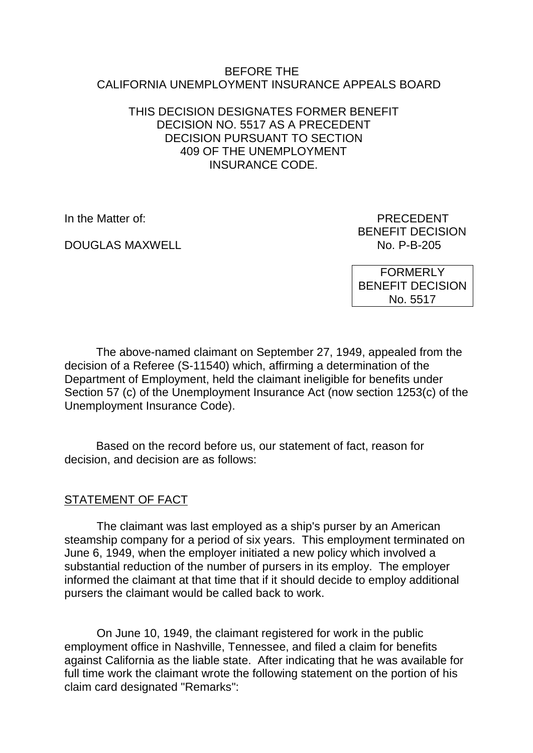#### BEFORE THE CALIFORNIA UNEMPLOYMENT INSURANCE APPEALS BOARD

### THIS DECISION DESIGNATES FORMER BENEFIT DECISION NO. 5517 AS A PRECEDENT DECISION PURSUANT TO SECTION 409 OF THE UNEMPLOYMENT INSURANCE CODE.

DOUGLAS MAXWELL NO. P-B-205

In the Matter of: PRECEDENT BENEFIT DECISION

> FORMERLY BENEFIT DECISION No. 5517

The above-named claimant on September 27, 1949, appealed from the decision of a Referee (S-11540) which, affirming a determination of the Department of Employment, held the claimant ineligible for benefits under Section 57 (c) of the Unemployment Insurance Act (now section 1253(c) of the Unemployment Insurance Code).

Based on the record before us, our statement of fact, reason for decision, and decision are as follows:

# STATEMENT OF FACT

The claimant was last employed as a ship's purser by an American steamship company for a period of six years. This employment terminated on June 6, 1949, when the employer initiated a new policy which involved a substantial reduction of the number of pursers in its employ. The employer informed the claimant at that time that if it should decide to employ additional pursers the claimant would be called back to work.

On June 10, 1949, the claimant registered for work in the public employment office in Nashville, Tennessee, and filed a claim for benefits against California as the liable state. After indicating that he was available for full time work the claimant wrote the following statement on the portion of his claim card designated "Remarks":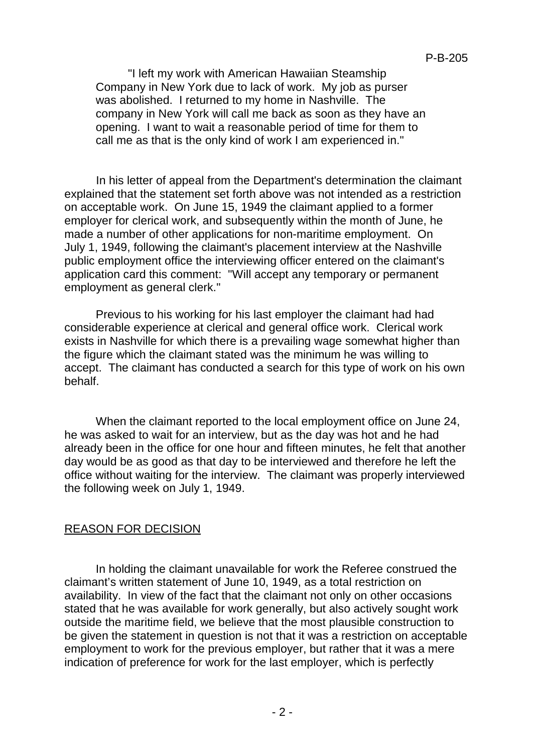"I left my work with American Hawaiian Steamship Company in New York due to lack of work. My job as purser was abolished. I returned to my home in Nashville. The company in New York will call me back as soon as they have an opening. I want to wait a reasonable period of time for them to call me as that is the only kind of work I am experienced in."

In his letter of appeal from the Department's determination the claimant explained that the statement set forth above was not intended as a restriction on acceptable work. On June 15, 1949 the claimant applied to a former employer for clerical work, and subsequently within the month of June, he made a number of other applications for non-maritime employment. On July 1, 1949, following the claimant's placement interview at the Nashville public employment office the interviewing officer entered on the claimant's application card this comment: "Will accept any temporary or permanent employment as general clerk."

Previous to his working for his last employer the claimant had had considerable experience at clerical and general office work. Clerical work exists in Nashville for which there is a prevailing wage somewhat higher than the figure which the claimant stated was the minimum he was willing to accept. The claimant has conducted a search for this type of work on his own behalf.

When the claimant reported to the local employment office on June 24, he was asked to wait for an interview, but as the day was hot and he had already been in the office for one hour and fifteen minutes, he felt that another day would be as good as that day to be interviewed and therefore he left the office without waiting for the interview. The claimant was properly interviewed the following week on July 1, 1949.

# REASON FOR DECISION

In holding the claimant unavailable for work the Referee construed the claimant's written statement of June 10, 1949, as a total restriction on availability. In view of the fact that the claimant not only on other occasions stated that he was available for work generally, but also actively sought work outside the maritime field, we believe that the most plausible construction to be given the statement in question is not that it was a restriction on acceptable employment to work for the previous employer, but rather that it was a mere indication of preference for work for the last employer, which is perfectly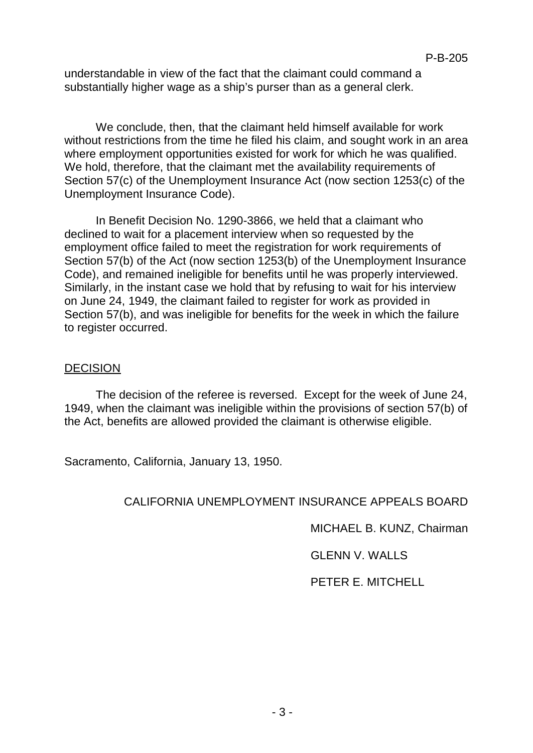understandable in view of the fact that the claimant could command a substantially higher wage as a ship's purser than as a general clerk.

We conclude, then, that the claimant held himself available for work without restrictions from the time he filed his claim, and sought work in an area where employment opportunities existed for work for which he was qualified. We hold, therefore, that the claimant met the availability requirements of Section 57(c) of the Unemployment Insurance Act (now section 1253(c) of the Unemployment Insurance Code).

In Benefit Decision No. 1290-3866, we held that a claimant who declined to wait for a placement interview when so requested by the employment office failed to meet the registration for work requirements of Section 57(b) of the Act (now section 1253(b) of the Unemployment Insurance Code), and remained ineligible for benefits until he was properly interviewed. Similarly, in the instant case we hold that by refusing to wait for his interview on June 24, 1949, the claimant failed to register for work as provided in Section 57(b), and was ineligible for benefits for the week in which the failure to register occurred.

#### DECISION

The decision of the referee is reversed. Except for the week of June 24, 1949, when the claimant was ineligible within the provisions of section 57(b) of the Act, benefits are allowed provided the claimant is otherwise eligible.

Sacramento, California, January 13, 1950.

### CALIFORNIA UNEMPLOYMENT INSURANCE APPEALS BOARD

MICHAEL B. KUNZ, Chairman

GLENN V. WALLS

PETER E. MITCHELL